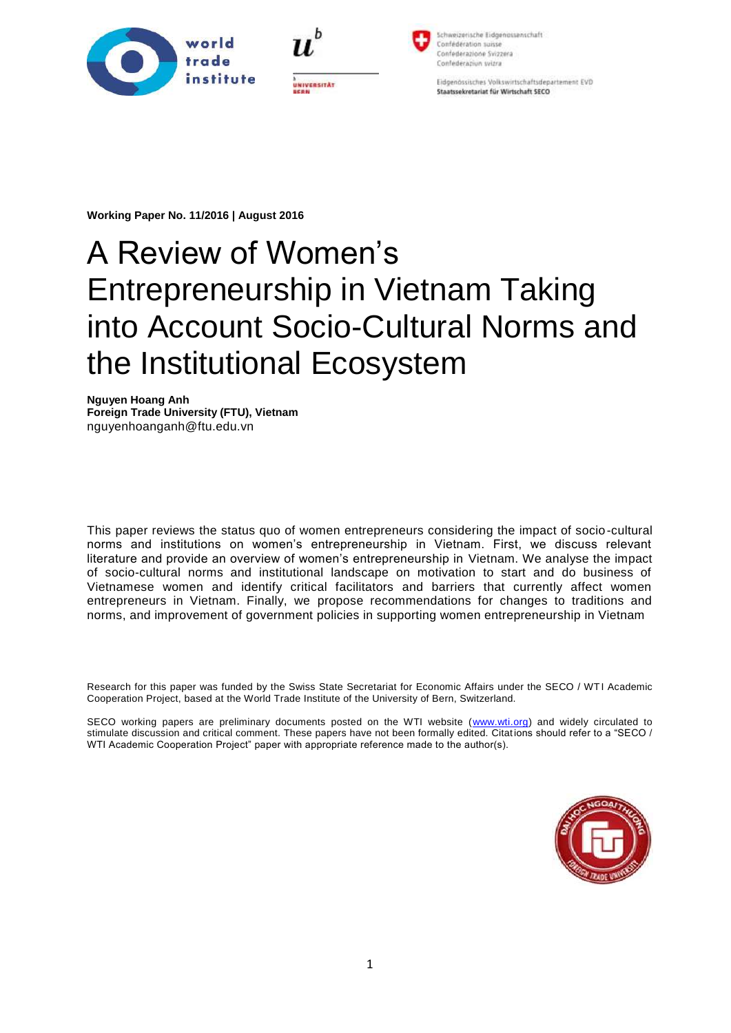



Schweizerische Eidgenossenschaft Confédération suissi Confederazione Svizzera Confederazion wizra

Eidgenössisches Volkswirtschaftsdepartement EVD Staatssekretariat für Wirtschaft SECO

**Working Paper No. 11/2016 | August 2016**

# A Review of Women's Entrepreneurship in Vietnam Taking into Account Socio-Cultural Norms and the Institutional Ecosystem

**Nguyen Hoang Anh Foreign Trade University (FTU), Vietnam** nguyenhoanganh@ftu.edu.vn

This paper reviews the status quo of women entrepreneurs considering the impact of socio-cultural norms and institutions on women's entrepreneurship in Vietnam. First, we discuss relevant literature and provide an overview of women's entrepreneurship in Vietnam. We analyse the impact of socio-cultural norms and institutional landscape on motivation to start and do business of Vietnamese women and identify critical facilitators and barriers that currently affect women entrepreneurs in Vietnam. Finally, we propose recommendations for changes to traditions and norms, and improvement of government policies in supporting women entrepreneurship in Vietnam

Research for this paper was funded by the Swiss State Secretariat for Economic Affairs under the SECO / WTI Academic Cooperation Project, based at the World Trade Institute of the University of Bern, Switzerland.

SECO working papers are preliminary documents posted on the WTI website [\(www.wti.org\)](file://///WTISTORAGE01.wti.unibe.ch/gd$/wti/wti/20_Seco%20Projekt/Admin/01-SECO%20Working%20Files%20RP/Activities%20FTU/Research%20Projects/Research%20FTU%202015/www.wti.org) and widely circulated to stimulate discussion and critical comment. These papers have not been formally edited. Citations should refer to a "SECO / WTI Academic Cooperation Project" paper with appropriate reference made to the author(s).

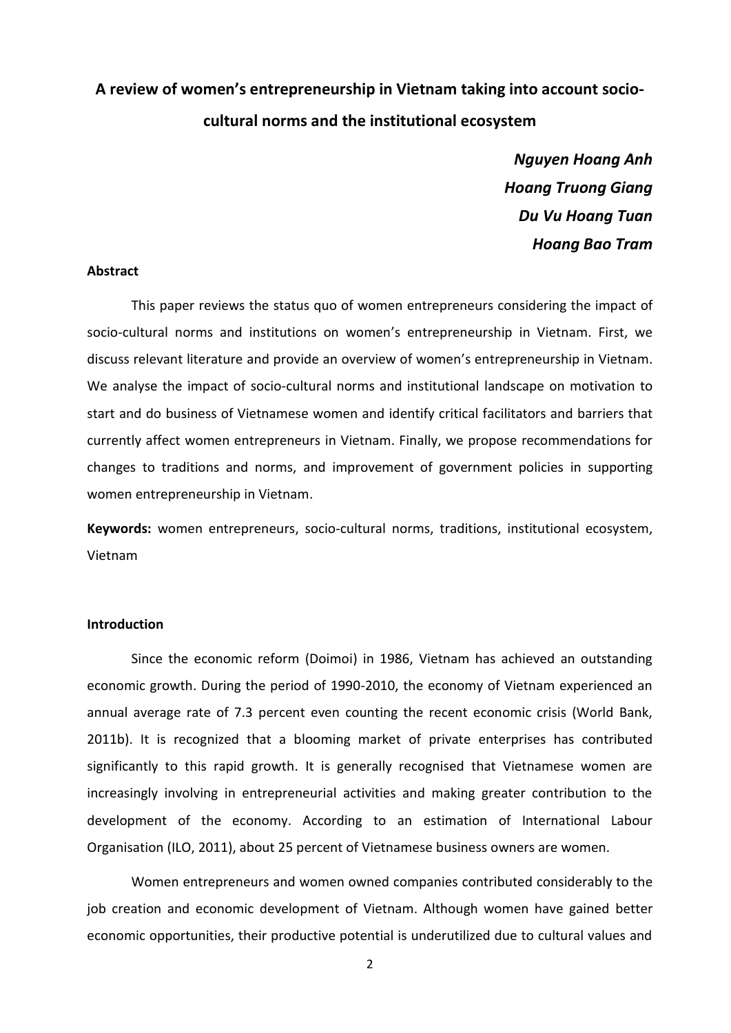# **A review of women's entrepreneurship in Vietnam taking into account sociocultural norms and the institutional ecosystem**

*Nguyen Hoang Anh Hoang Truong Giang Du Vu Hoang Tuan Hoang Bao Tram*

#### **Abstract**

This paper reviews the status quo of women entrepreneurs considering the impact of socio-cultural norms and institutions on women's entrepreneurship in Vietnam. First, we discuss relevant literature and provide an overview of women's entrepreneurship in Vietnam. We analyse the impact of socio-cultural norms and institutional landscape on motivation to start and do business of Vietnamese women and identify critical facilitators and barriers that currently affect women entrepreneurs in Vietnam. Finally, we propose recommendations for changes to traditions and norms, and improvement of government policies in supporting women entrepreneurship in Vietnam.

**Keywords:** women entrepreneurs, socio-cultural norms, traditions, institutional ecosystem, Vietnam

# **Introduction**

Since the economic reform (Doimoi) in 1986, Vietnam has achieved an outstanding economic growth. During the period of 1990-2010, the economy of Vietnam experienced an annual average rate of 7.3 percent even counting the recent economic crisis (World Bank, 2011b). It is recognized that a blooming market of private enterprises has contributed significantly to this rapid growth. It is generally recognised that Vietnamese women are increasingly involving in entrepreneurial activities and making greater contribution to the development of the economy. According to an estimation of International Labour Organisation (ILO, 2011), about 25 percent of Vietnamese business owners are women.

Women entrepreneurs and women owned companies contributed considerably to the job creation and economic development of Vietnam. Although women have gained better economic opportunities, their productive potential is underutilized due to cultural values and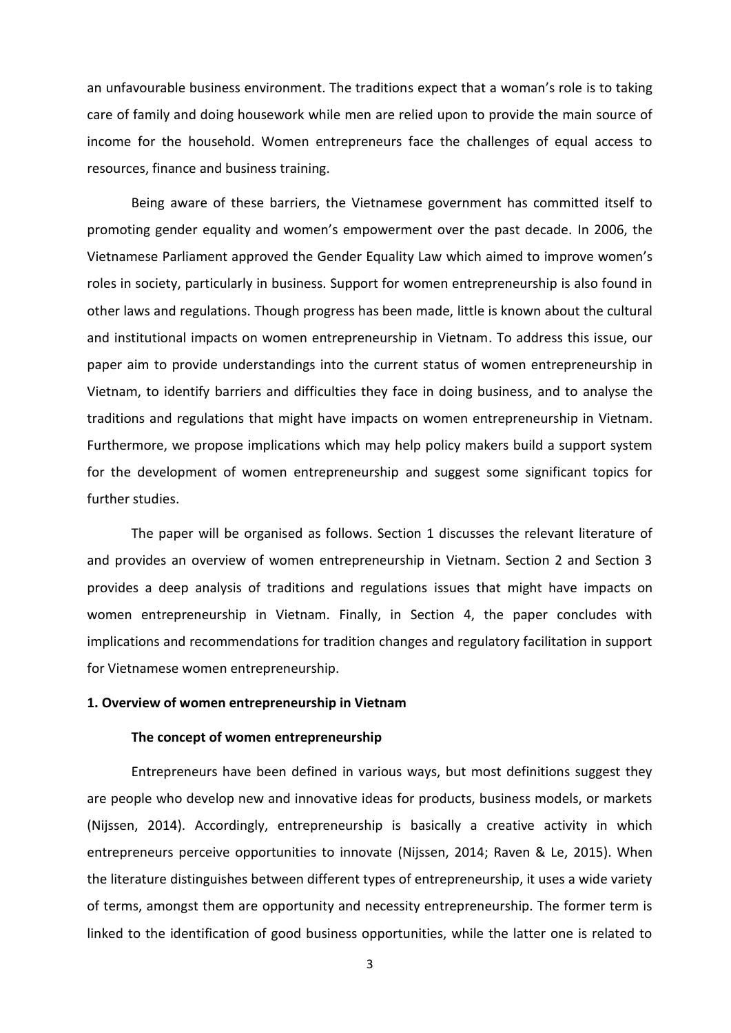an unfavourable business environment. The traditions expect that a woman's role is to taking care of family and doing housework while men are relied upon to provide the main source of income for the household. Women entrepreneurs face the challenges of equal access to resources, finance and business training.

Being aware of these barriers, the Vietnamese government has committed itself to promoting gender equality and women's empowerment over the past decade. In 2006, the Vietnamese Parliament approved the Gender Equality Law which aimed to improve women's roles in society, particularly in business. Support for women entrepreneurship is also found in other laws and regulations. Though progress has been made, little is known about the cultural and institutional impacts on women entrepreneurship in Vietnam. To address this issue, our paper aim to provide understandings into the current status of women entrepreneurship in Vietnam, to identify barriers and difficulties they face in doing business, and to analyse the traditions and regulations that might have impacts on women entrepreneurship in Vietnam. Furthermore, we propose implications which may help policy makers build a support system for the development of women entrepreneurship and suggest some significant topics for further studies.

The paper will be organised as follows. Section 1 discusses the relevant literature of and provides an overview of women entrepreneurship in Vietnam. Section 2 and Section 3 provides a deep analysis of traditions and regulations issues that might have impacts on women entrepreneurship in Vietnam. Finally, in Section 4, the paper concludes with implications and recommendations for tradition changes and regulatory facilitation in support for Vietnamese women entrepreneurship.

# **1. Overview of women entrepreneurship in Vietnam**

#### **The concept of women entrepreneurship**

Entrepreneurs have been defined in various ways, but most definitions suggest they are people who develop new and innovative ideas for products, business models, or markets (Nijssen, 2014). Accordingly, entrepreneurship is basically a creative activity in which entrepreneurs perceive opportunities to innovate (Nijssen, 2014; Raven & Le, 2015). When the literature distinguishes between different types of entrepreneurship, it uses a wide variety of terms, amongst them are opportunity and necessity entrepreneurship. The former term is linked to the identification of good business opportunities, while the latter one is related to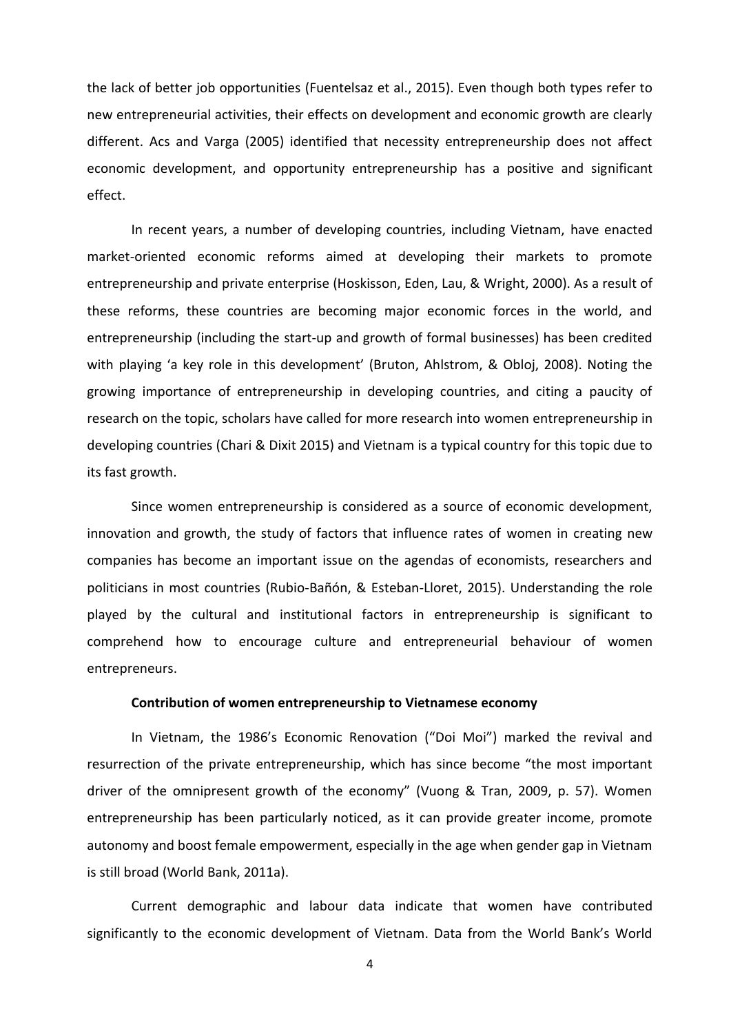the lack of better job opportunities (Fuentelsaz et al., 2015). Even though both types refer to new entrepreneurial activities, their effects on development and economic growth are clearly different. Acs and Varga (2005) identified that necessity entrepreneurship does not affect economic development, and opportunity entrepreneurship has a positive and significant effect.

In recent years, a number of developing countries, including Vietnam, have enacted market-oriented economic reforms aimed at developing their markets to promote entrepreneurship and private enterprise (Hoskisson, Eden, Lau, & Wright, 2000). As a result of these reforms, these countries are becoming major economic forces in the world, and entrepreneurship (including the start-up and growth of formal businesses) has been credited with playing 'a key role in this development' (Bruton, Ahlstrom, & Obloj, 2008). Noting the growing importance of entrepreneurship in developing countries, and citing a paucity of research on the topic, scholars have called for more research into women entrepreneurship in developing countries (Chari & Dixit 2015) and Vietnam is a typical country for this topic due to its fast growth.

Since women entrepreneurship is considered as a source of economic development, innovation and growth, the study of factors that influence rates of women in creating new companies has become an important issue on the agendas of economists, researchers and politicians in most countries (Rubio-Bañón, & Esteban-Lloret, 2015). Understanding the role played by the cultural and institutional factors in entrepreneurship is significant to comprehend how to encourage culture and entrepreneurial behaviour of women entrepreneurs.

#### **Contribution of women entrepreneurship to Vietnamese economy**

In Vietnam, the 1986's Economic Renovation ("Doi Moi") marked the revival and resurrection of the private entrepreneurship, which has since become "the most important driver of the omnipresent growth of the economy" (Vuong & Tran, 2009, p. 57). Women entrepreneurship has been particularly noticed, as it can provide greater income, promote autonomy and boost female empowerment, especially in the age when gender gap in Vietnam is still broad (World Bank, 2011a).

Current demographic and labour data indicate that women have contributed significantly to the economic development of Vietnam. Data from the World Bank's World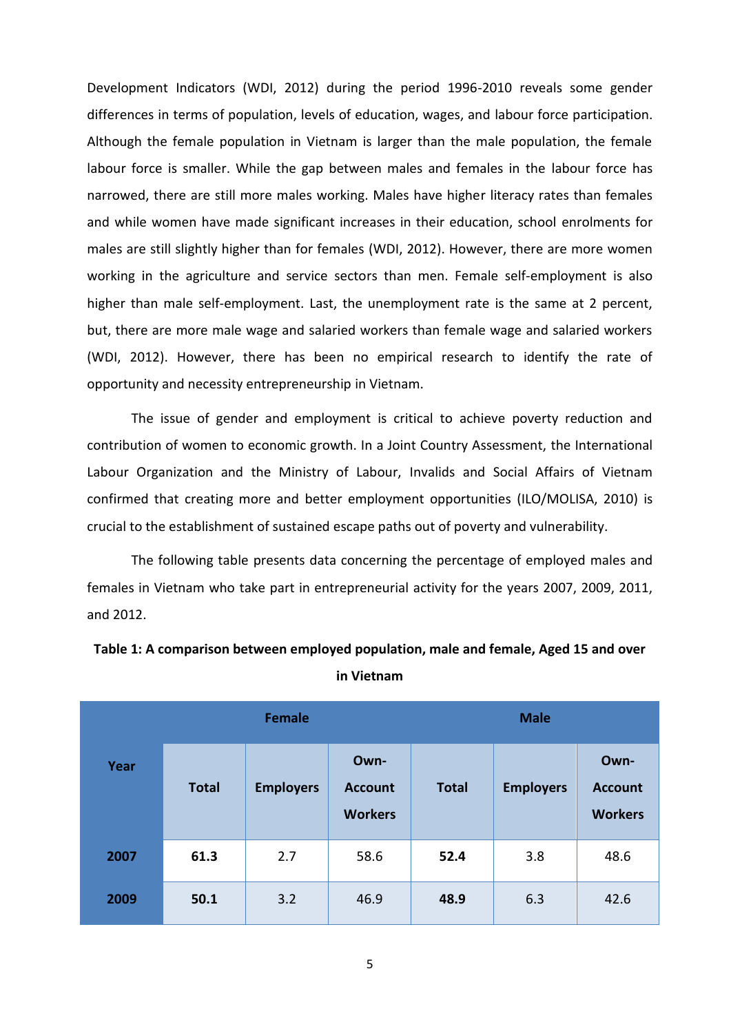Development Indicators (WDI, 2012) during the period 1996-2010 reveals some gender differences in terms of population, levels of education, wages, and labour force participation. Although the female population in Vietnam is larger than the male population, the female labour force is smaller. While the gap between males and females in the labour force has narrowed, there are still more males working. Males have higher literacy rates than females and while women have made significant increases in their education, school enrolments for males are still slightly higher than for females (WDI, 2012). However, there are more women working in the agriculture and service sectors than men. Female self-employment is also higher than male self-employment. Last, the unemployment rate is the same at 2 percent, but, there are more male wage and salaried workers than female wage and salaried workers (WDI, 2012). However, there has been no empirical research to identify the rate of opportunity and necessity entrepreneurship in Vietnam.

The issue of gender and employment is critical to achieve poverty reduction and contribution of women to economic growth. In a Joint Country Assessment, the International Labour Organization and the Ministry of Labour, Invalids and Social Affairs of Vietnam confirmed that creating more and better employment opportunities (ILO/MOLISA, 2010) is crucial to the establishment of sustained escape paths out of poverty and vulnerability.

The following table presents data concerning the percentage of employed males and females in Vietnam who take part in entrepreneurial activity for the years 2007, 2009, 2011, and 2012.

|      | <b>Female</b> |                  |                                          | <b>Male</b>  |                  |                                          |  |
|------|---------------|------------------|------------------------------------------|--------------|------------------|------------------------------------------|--|
| Year | <b>Total</b>  | <b>Employers</b> | Own-<br><b>Account</b><br><b>Workers</b> | <b>Total</b> | <b>Employers</b> | Own-<br><b>Account</b><br><b>Workers</b> |  |
| 2007 | 61.3          | 2.7              | 58.6                                     | 52.4         | 3.8              | 48.6                                     |  |
| 2009 | 50.1          | 3.2              | 46.9                                     | 48.9         | 6.3              | 42.6                                     |  |

**Table 1: A comparison between employed population, male and female, Aged 15 and over in Vietnam**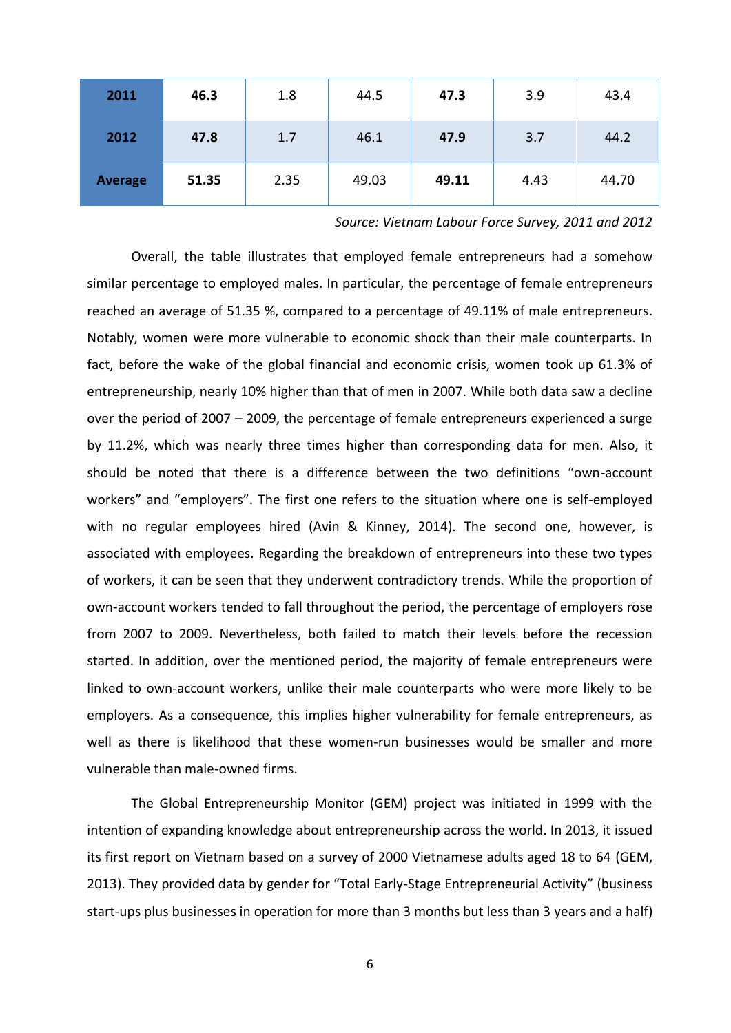| 2011           | 46.3  | 1.8  | 44.5  | 47.3  | 3.9  | 43.4  |
|----------------|-------|------|-------|-------|------|-------|
| 2012           | 47.8  | 1.7  | 46.1  | 47.9  | 3.7  | 44.2  |
| <b>Average</b> | 51.35 | 2.35 | 49.03 | 49.11 | 4.43 | 44.70 |

*Source: Vietnam Labour Force Survey, 2011 and 2012*

Overall, the table illustrates that employed female entrepreneurs had a somehow similar percentage to employed males. In particular, the percentage of female entrepreneurs reached an average of 51.35 %, compared to a percentage of 49.11% of male entrepreneurs. Notably, women were more vulnerable to economic shock than their male counterparts. In fact, before the wake of the global financial and economic crisis, women took up 61.3% of entrepreneurship, nearly 10% higher than that of men in 2007. While both data saw a decline over the period of 2007 – 2009, the percentage of female entrepreneurs experienced a surge by 11.2%, which was nearly three times higher than corresponding data for men. Also, it should be noted that there is a difference between the two definitions "own-account workers" and "employers". The first one refers to the situation where one is self-employed with no regular employees hired (Avin & Kinney, 2014). The second one, however, is associated with employees. Regarding the breakdown of entrepreneurs into these two types of workers, it can be seen that they underwent contradictory trends. While the proportion of own-account workers tended to fall throughout the period, the percentage of employers rose from 2007 to 2009. Nevertheless, both failed to match their levels before the recession started. In addition, over the mentioned period, the majority of female entrepreneurs were linked to own-account workers, unlike their male counterparts who were more likely to be employers. As a consequence, this implies higher vulnerability for female entrepreneurs, as well as there is likelihood that these women-run businesses would be smaller and more vulnerable than male-owned firms.

The Global Entrepreneurship Monitor (GEM) project was initiated in 1999 with the intention of expanding knowledge about entrepreneurship across the world. In 2013, it issued its first report on Vietnam based on a survey of 2000 Vietnamese adults aged 18 to 64 (GEM, 2013). They provided data by gender for "Total Early-Stage Entrepreneurial Activity" (business start-ups plus businesses in operation for more than 3 months but less than 3 years and a half)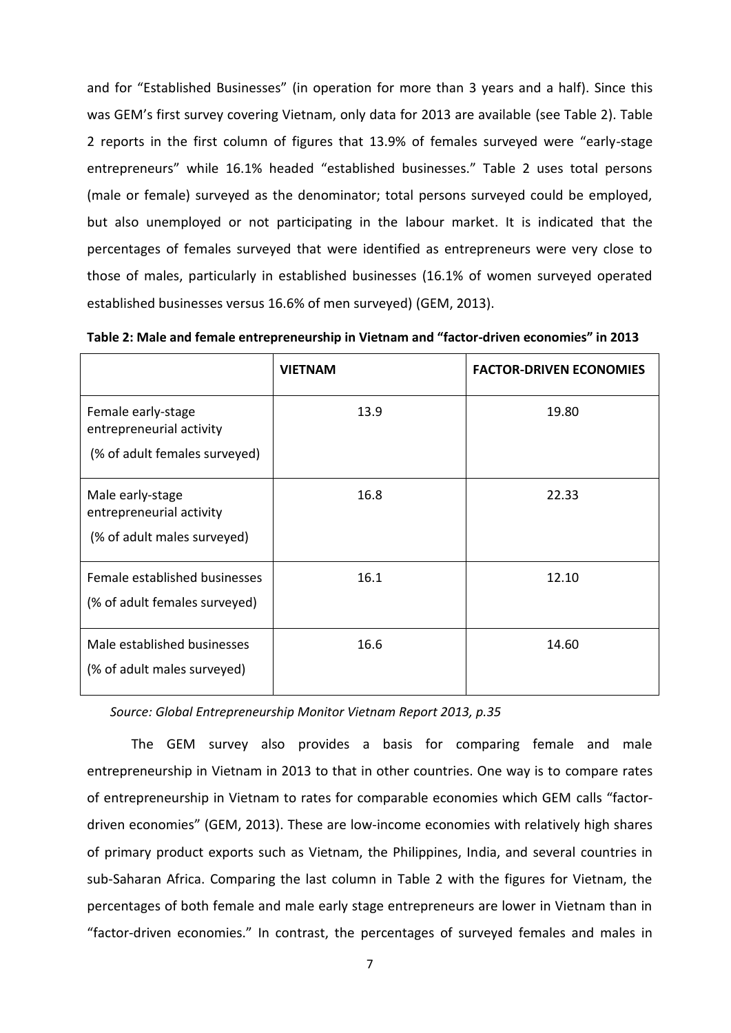and for "Established Businesses" (in operation for more than 3 years and a half). Since this was GEM's first survey covering Vietnam, only data for 2013 are available (see Table 2). Table 2 reports in the first column of figures that 13.9% of females surveyed were "early-stage entrepreneurs" while 16.1% headed "established businesses." Table 2 uses total persons (male or female) surveyed as the denominator; total persons surveyed could be employed, but also unemployed or not participating in the labour market. It is indicated that the percentages of females surveyed that were identified as entrepreneurs were very close to those of males, particularly in established businesses (16.1% of women surveyed operated established businesses versus 16.6% of men surveyed) (GEM, 2013).

|  | Table 2: Male and female entrepreneurship in Vietnam and "factor-driven economies" in 2013 |
|--|--------------------------------------------------------------------------------------------|
|  |                                                                                            |

|                                                                                 | <b>VIETNAM</b> | <b>FACTOR-DRIVEN ECONOMIES</b> |
|---------------------------------------------------------------------------------|----------------|--------------------------------|
| Female early-stage<br>entrepreneurial activity<br>(% of adult females surveyed) | 13.9           | 19.80                          |
| Male early-stage<br>entrepreneurial activity<br>(% of adult males surveyed)     | 16.8           | 22.33                          |
| Female established businesses<br>(% of adult females surveyed)                  | 16.1           | 12.10                          |
| Male established businesses<br>(% of adult males surveyed)                      | 16.6           | 14.60                          |

*Source: Global Entrepreneurship Monitor Vietnam Report 2013, p.35* 

The GEM survey also provides a basis for comparing female and male entrepreneurship in Vietnam in 2013 to that in other countries. One way is to compare rates of entrepreneurship in Vietnam to rates for comparable economies which GEM calls "factordriven economies" (GEM, 2013). These are low-income economies with relatively high shares of primary product exports such as Vietnam, the Philippines, India, and several countries in sub-Saharan Africa. Comparing the last column in Table 2 with the figures for Vietnam, the percentages of both female and male early stage entrepreneurs are lower in Vietnam than in "factor-driven economies." In contrast, the percentages of surveyed females and males in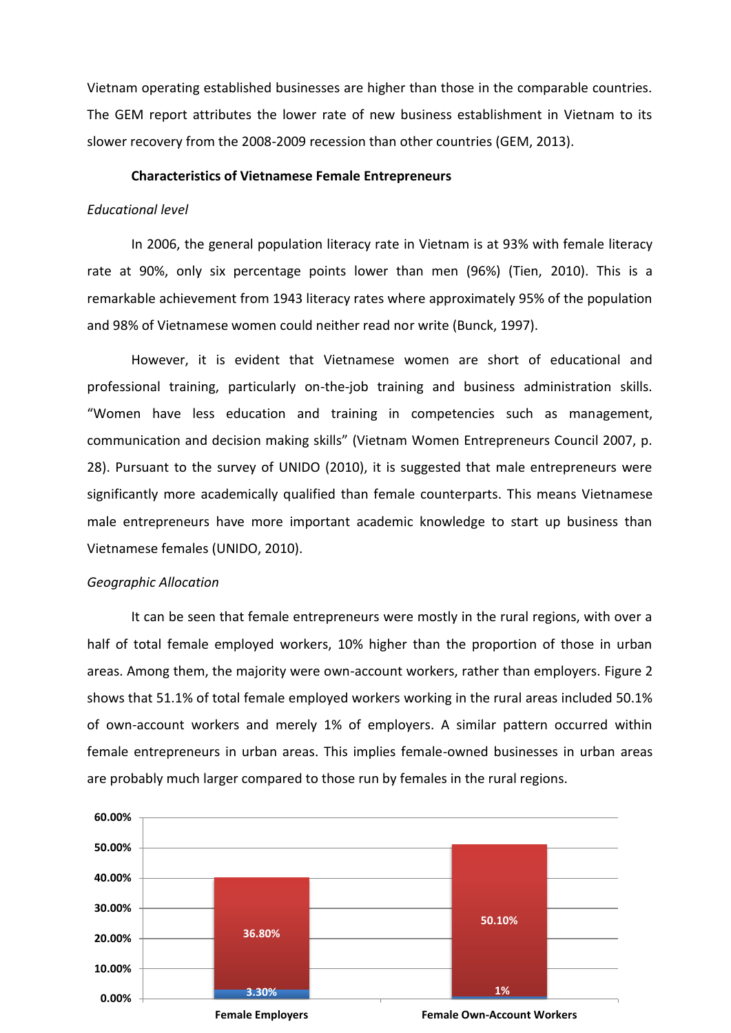Vietnam operating established businesses are higher than those in the comparable countries. The GEM report attributes the lower rate of new business establishment in Vietnam to its slower recovery from the 2008-2009 recession than other countries (GEM, 2013).

#### **Characteristics of Vietnamese Female Entrepreneurs**

#### *Educational level*

In 2006, the general population literacy rate in Vietnam is at 93% with female literacy rate at 90%, only six percentage points lower than men (96%) (Tien, 2010). This is a remarkable achievement from 1943 literacy rates where approximately 95% of the population and 98% of Vietnamese women could neither read nor write (Bunck, 1997).

However, it is evident that Vietnamese women are short of educational and professional training, particularly on-the-job training and business administration skills. "Women have less education and training in competencies such as management, communication and decision making skills" (Vietnam Women Entrepreneurs Council 2007, p. 28). Pursuant to the survey of UNIDO (2010), it is suggested that male entrepreneurs were significantly more academically qualified than female counterparts. This means Vietnamese male entrepreneurs have more important academic knowledge to start up business than Vietnamese females (UNIDO, 2010).

#### *Geographic Allocation*

It can be seen that female entrepreneurs were mostly in the rural regions, with over a half of total female employed workers, 10% higher than the proportion of those in urban areas. Among them, the majority were own-account workers, rather than employers. Figure 2 shows that 51.1% of total female employed workers working in the rural areas included 50.1% of own-account workers and merely 1% of employers. A similar pattern occurred within female entrepreneurs in urban areas. This implies female-owned businesses in urban areas are probably much larger compared to those run by females in the rural regions.

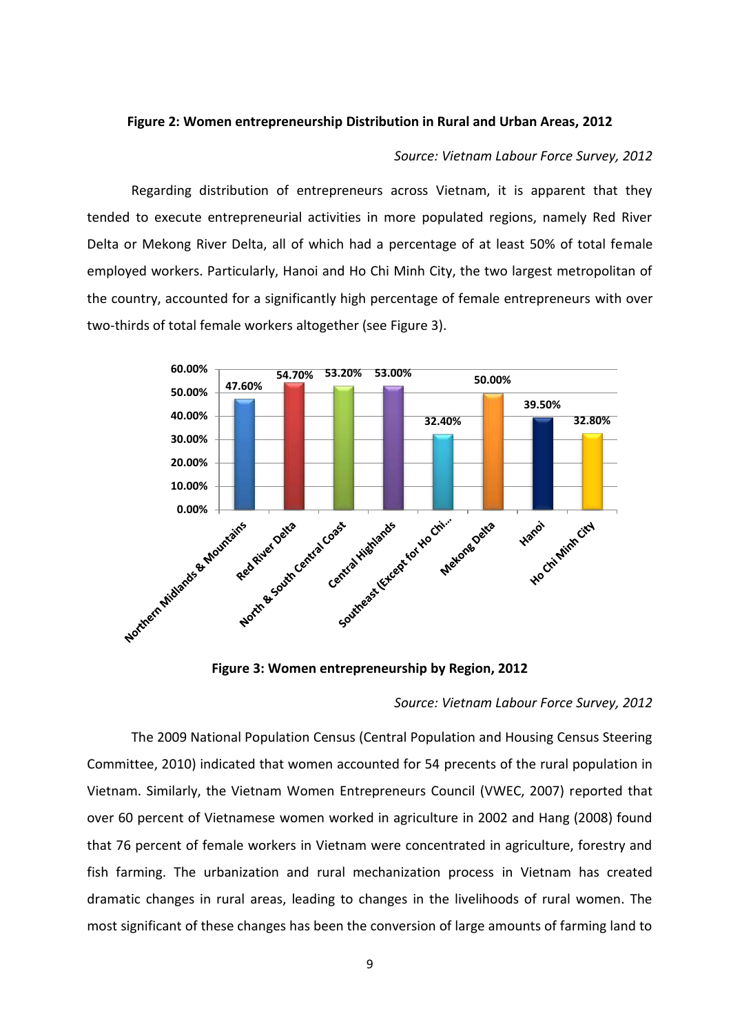#### **Figure 2: Women entrepreneurship Distribution in Rural and Urban Areas, 2012**

#### *Source: Vietnam Labour Force Survey, 2012*

Regarding distribution of entrepreneurs across Vietnam, it is apparent that they tended to execute entrepreneurial activities in more populated regions, namely Red River Delta or Mekong River Delta, all of which had a percentage of at least 50% of total female employed workers. Particularly, Hanoi and Ho Chi Minh City, the two largest metropolitan of the country, accounted for a significantly high percentage of female entrepreneurs with over two-thirds of total female workers altogether (see Figure 3).



**Figure 3: Women entrepreneurship by Region, 2012**

#### *Source: Vietnam Labour Force Survey, 2012*

The 2009 National Population Census (Central Population and Housing Census Steering Committee, 2010) indicated that women accounted for 54 precents of the rural population in Vietnam. Similarly, the Vietnam Women Entrepreneurs Council (VWEC, 2007) reported that over 60 percent of Vietnamese women worked in agriculture in 2002 and Hang (2008) found that 76 percent of female workers in Vietnam were concentrated in agriculture, forestry and fish farming. The urbanization and rural mechanization process in Vietnam has created dramatic changes in rural areas, leading to changes in the livelihoods of rural women. The most significant of these changes has been the conversion of large amounts of farming land to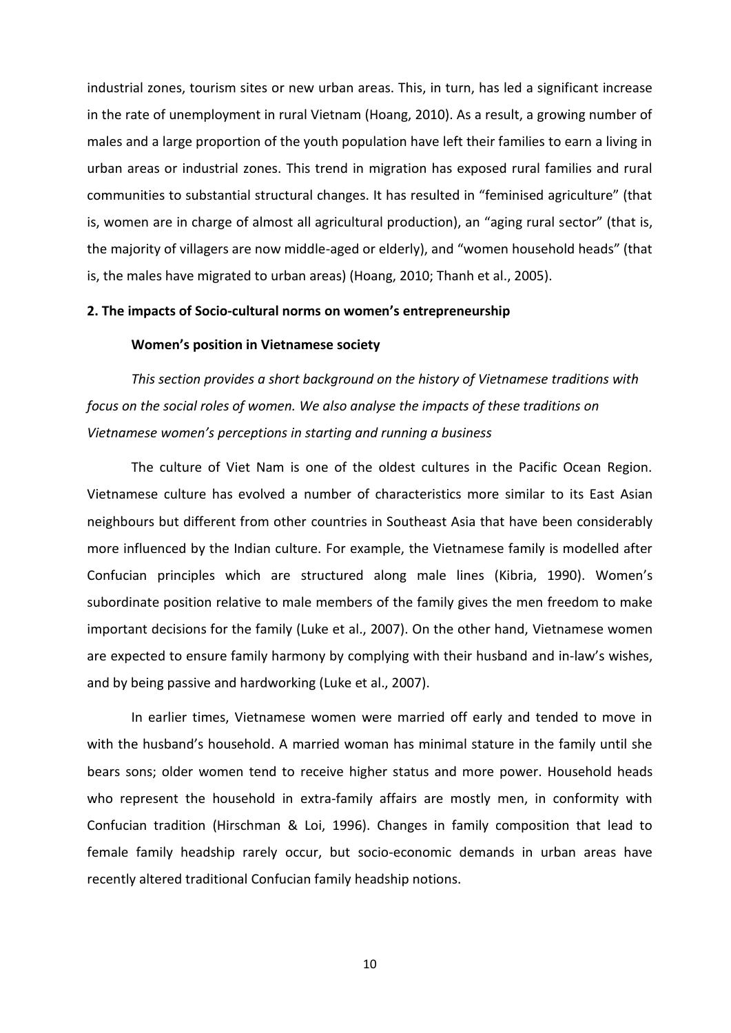industrial zones, tourism sites or new urban areas. This, in turn, has led a significant increase in the rate of unemployment in rural Vietnam (Hoang, 2010). As a result, a growing number of males and a large proportion of the youth population have left their families to earn a living in urban areas or industrial zones. This trend in migration has exposed rural families and rural communities to substantial structural changes. It has resulted in "feminised agriculture" (that is, women are in charge of almost all agricultural production), an "aging rural sector" (that is, the majority of villagers are now middle-aged or elderly), and "women household heads" (that is, the males have migrated to urban areas) (Hoang, 2010; Thanh et al., 2005).

### **2. The impacts of Socio-cultural norms on women's entrepreneurship**

# **Women's position in Vietnamese society**

*This section provides a short background on the history of Vietnamese traditions with focus on the social roles of women. We also analyse the impacts of these traditions on Vietnamese women's perceptions in starting and running a business*

The culture of Viet Nam is one of the oldest cultures in the Pacific Ocean Region. Vietnamese culture has evolved a number of characteristics more similar to its East Asian neighbours but different from other countries in Southeast Asia that have been considerably more influenced by the Indian culture. For example, the Vietnamese family is modelled after Confucian principles which are structured along male lines (Kibria, 1990). Women's subordinate position relative to male members of the family gives the men freedom to make important decisions for the family (Luke et al., 2007). On the other hand, Vietnamese women are expected to ensure family harmony by complying with their husband and in-law's wishes, and by being passive and hardworking (Luke et al., 2007).

In earlier times, Vietnamese women were married off early and tended to move in with the husband's household. A married woman has minimal stature in the family until she bears sons; older women tend to receive higher status and more power. Household heads who represent the household in extra-family affairs are mostly men, in conformity with Confucian tradition (Hirschman & Loi, 1996). Changes in family composition that lead to female family headship rarely occur, but socio-economic demands in urban areas have recently altered traditional Confucian family headship notions.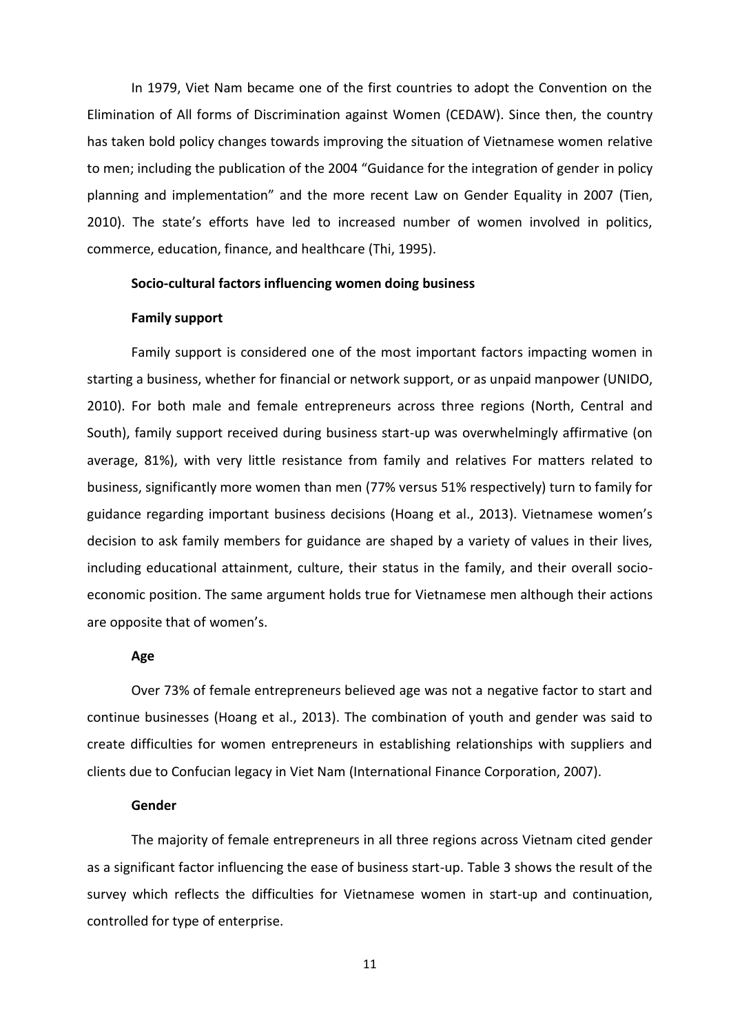In 1979, Viet Nam became one of the first countries to adopt the Convention on the Elimination of All forms of Discrimination against Women (CEDAW). Since then, the country has taken bold policy changes towards improving the situation of Vietnamese women relative to men; including the publication of the 2004 "Guidance for the integration of gender in policy planning and implementation" and the more recent Law on Gender Equality in 2007 (Tien, 2010). The state's efforts have led to increased number of women involved in politics, commerce, education, finance, and healthcare (Thi, 1995).

#### **Socio-cultural factors influencing women doing business**

# **Family support**

Family support is considered one of the most important factors impacting women in starting a business, whether for financial or network support, or as unpaid manpower (UNIDO, 2010). For both male and female entrepreneurs across three regions (North, Central and South), family support received during business start-up was overwhelmingly affirmative (on average, 81%), with very little resistance from family and relatives For matters related to business, significantly more women than men (77% versus 51% respectively) turn to family for guidance regarding important business decisions (Hoang et al., 2013). Vietnamese women's decision to ask family members for guidance are shaped by a variety of values in their lives, including educational attainment, culture, their status in the family, and their overall socioeconomic position. The same argument holds true for Vietnamese men although their actions are opposite that of women's.

#### **Age**

Over 73% of female entrepreneurs believed age was not a negative factor to start and continue businesses (Hoang et al., 2013). The combination of youth and gender was said to create difficulties for women entrepreneurs in establishing relationships with suppliers and clients due to Confucian legacy in Viet Nam (International Finance Corporation, 2007).

### **Gender**

The majority of female entrepreneurs in all three regions across Vietnam cited gender as a significant factor influencing the ease of business start-up. Table 3 shows the result of the survey which reflects the difficulties for Vietnamese women in start-up and continuation, controlled for type of enterprise.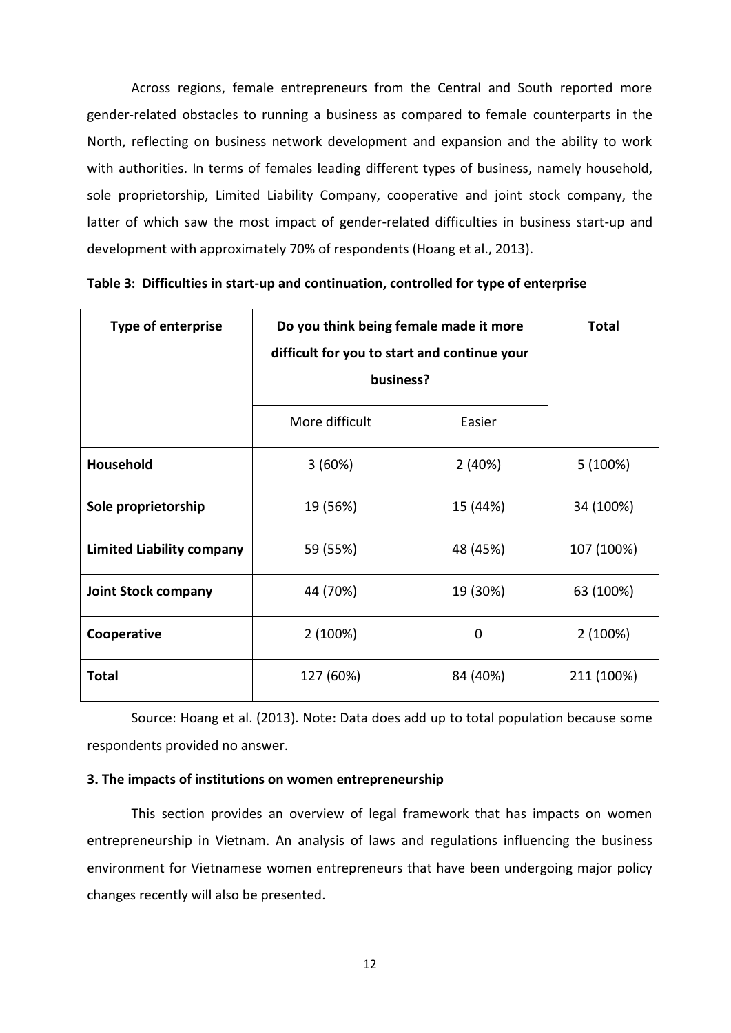Across regions, female entrepreneurs from the Central and South reported more gender-related obstacles to running a business as compared to female counterparts in the North, reflecting on business network development and expansion and the ability to work with authorities. In terms of females leading different types of business, namely household, sole proprietorship, Limited Liability Company, cooperative and joint stock company, the latter of which saw the most impact of gender-related difficulties in business start-up and development with approximately 70% of respondents (Hoang et al., 2013).

| <b>Type of enterprise</b>        | Do you think being female made it more<br>difficult for you to start and continue your<br>business? | <b>Total</b> |            |
|----------------------------------|-----------------------------------------------------------------------------------------------------|--------------|------------|
|                                  | More difficult<br>Easier                                                                            |              |            |
| Household                        | 3(60%)                                                                                              | 2(40%)       | $5(100\%)$ |
| Sole proprietorship              | 19 (56%)                                                                                            | 15 (44%)     | 34 (100%)  |
| <b>Limited Liability company</b> | 59 (55%)                                                                                            | 48 (45%)     | 107 (100%) |
| <b>Joint Stock company</b>       | 44 (70%)                                                                                            | 19 (30%)     | 63 (100%)  |
| Cooperative                      | 2(100%)                                                                                             | 0            | 2(100%)    |
| <b>Total</b>                     | 127 (60%)                                                                                           | 84 (40%)     | 211 (100%) |

|  | Table 3: Difficulties in start-up and continuation, controlled for type of enterprise |  |  |  |  |  |
|--|---------------------------------------------------------------------------------------|--|--|--|--|--|
|--|---------------------------------------------------------------------------------------|--|--|--|--|--|

Source: Hoang et al. (2013). Note: Data does add up to total population because some respondents provided no answer.

# **3. The impacts of institutions on women entrepreneurship**

This section provides an overview of legal framework that has impacts on women entrepreneurship in Vietnam. An analysis of laws and regulations influencing the business environment for Vietnamese women entrepreneurs that have been undergoing major policy changes recently will also be presented.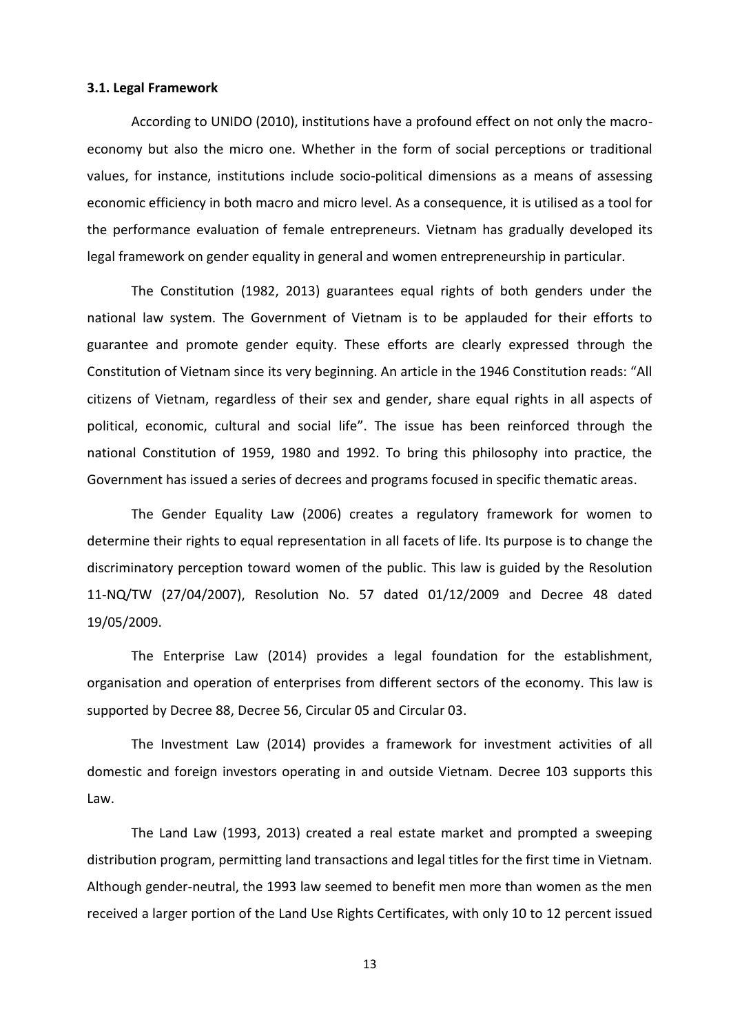#### **3.1. Legal Framework**

According to UNIDO (2010), institutions have a profound effect on not only the macroeconomy but also the micro one. Whether in the form of social perceptions or traditional values, for instance, institutions include socio-political dimensions as a means of assessing economic efficiency in both macro and micro level. As a consequence, it is utilised as a tool for the performance evaluation of female entrepreneurs. Vietnam has gradually developed its legal framework on gender equality in general and women entrepreneurship in particular.

The Constitution (1982, 2013) guarantees equal rights of both genders under the national law system. The Government of Vietnam is to be applauded for their efforts to guarantee and promote gender equity. These efforts are clearly expressed through the Constitution of Vietnam since its very beginning. An article in the 1946 Constitution reads: "All citizens of Vietnam, regardless of their sex and gender, share equal rights in all aspects of political, economic, cultural and social life". The issue has been reinforced through the national Constitution of 1959, 1980 and 1992. To bring this philosophy into practice, the Government has issued a series of decrees and programs focused in specific thematic areas.

The Gender Equality Law (2006) creates a regulatory framework for women to determine their rights to equal representation in all facets of life. Its purpose is to change the discriminatory perception toward women of the public. This law is guided by the Resolution 11-NQ/TW (27/04/2007), Resolution No. 57 dated 01/12/2009 and Decree 48 dated 19/05/2009.

The Enterprise Law (2014) provides a legal foundation for the establishment, organisation and operation of enterprises from different sectors of the economy. This law is supported by Decree 88, Decree 56, Circular 05 and Circular 03.

The Investment Law (2014) provides a framework for investment activities of all domestic and foreign investors operating in and outside Vietnam. Decree 103 supports this Law.

The Land Law (1993, 2013) created a real estate market and prompted a sweeping distribution program, permitting land transactions and legal titles for the first time in Vietnam. Although gender-neutral, the 1993 law seemed to benefit men more than women as the men received a larger portion of the Land Use Rights Certificates, with only 10 to 12 percent issued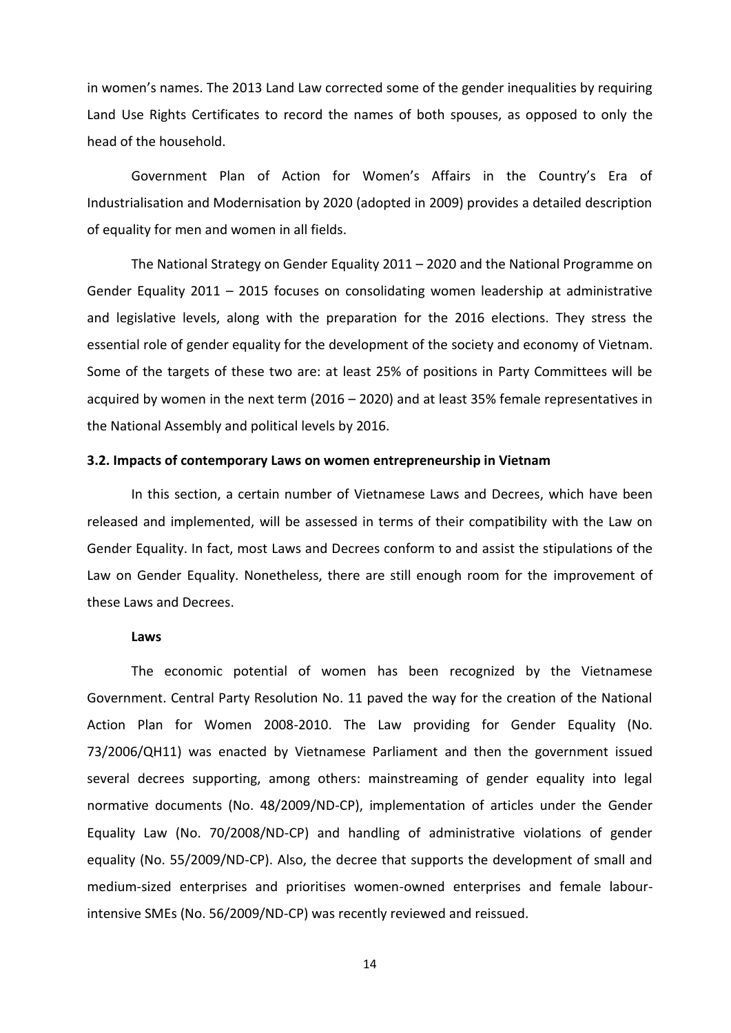in women's names. The 2013 Land Law corrected some of the gender inequalities by requiring Land Use Rights Certificates to record the names of both spouses, as opposed to only the head of the household.

Government Plan of Action for Women's Affairs in the Country's Era of Industrialisation and Modernisation by 2020 (adopted in 2009) provides a detailed description of equality for men and women in all fields.

The National Strategy on Gender Equality 2011 – 2020 and the National Programme on Gender Equality 2011 – 2015 focuses on consolidating women leadership at administrative and legislative levels, along with the preparation for the 2016 elections. They stress the essential role of gender equality for the development of the society and economy of Vietnam. Some of the targets of these two are: at least 25% of positions in Party Committees will be acquired by women in the next term (2016 – 2020) and at least 35% female representatives in the National Assembly and political levels by 2016.

#### **3.2. Impacts of contemporary Laws on women entrepreneurship in Vietnam**

In this section, a certain number of Vietnamese Laws and Decrees, which have been released and implemented, will be assessed in terms of their compatibility with the Law on Gender Equality. In fact, most Laws and Decrees conform to and assist the stipulations of the Law on Gender Equality. Nonetheless, there are still enough room for the improvement of these Laws and Decrees.

#### **Laws**

The economic potential of women has been recognized by the Vietnamese Government. Central Party Resolution No. 11 paved the way for the creation of the National Action Plan for Women 2008-2010. The Law providing for Gender Equality (No. 73/2006/QH11) was enacted by Vietnamese Parliament and then the government issued several decrees supporting, among others: mainstreaming of gender equality into legal normative documents (No. 48/2009/ND-CP), implementation of articles under the Gender Equality Law (No. 70/2008/ND-CP) and handling of administrative violations of gender equality (No. 55/2009/ND-CP). Also, the decree that supports the development of small and medium-sized enterprises and prioritises women-owned enterprises and female labourintensive SMEs (No. 56/2009/ND-CP) was recently reviewed and reissued.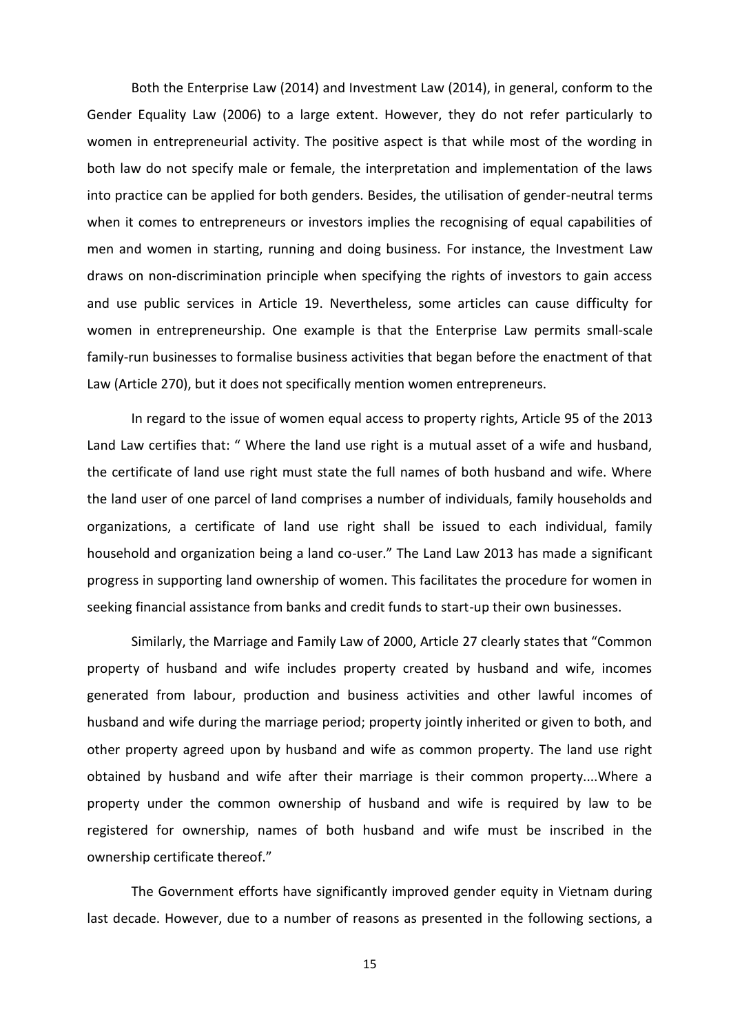Both the Enterprise Law (2014) and Investment Law (2014), in general, conform to the Gender Equality Law (2006) to a large extent. However, they do not refer particularly to women in entrepreneurial activity. The positive aspect is that while most of the wording in both law do not specify male or female, the interpretation and implementation of the laws into practice can be applied for both genders. Besides, the utilisation of gender-neutral terms when it comes to entrepreneurs or investors implies the recognising of equal capabilities of men and women in starting, running and doing business. For instance, the Investment Law draws on non-discrimination principle when specifying the rights of investors to gain access and use public services in Article 19. Nevertheless, some articles can cause difficulty for women in entrepreneurship. One example is that the Enterprise Law permits small-scale family-run businesses to formalise business activities that began before the enactment of that Law (Article 270), but it does not specifically mention women entrepreneurs.

In regard to the issue of women equal access to property rights, Article 95 of the 2013 Land Law certifies that: " Where the land use right is a mutual asset of a wife and husband, the certificate of land use right must state the full names of both husband and wife. Where the land user of one parcel of land comprises a number of individuals, family households and organizations, a certificate of land use right shall be issued to each individual, family household and organization being a land co-user." The Land Law 2013 has made a significant progress in supporting land ownership of women. This facilitates the procedure for women in seeking financial assistance from banks and credit funds to start-up their own businesses.

Similarly, the Marriage and Family Law of 2000, Article 27 clearly states that "Common property of husband and wife includes property created by husband and wife, incomes generated from labour, production and business activities and other lawful incomes of husband and wife during the marriage period; property jointly inherited or given to both, and other property agreed upon by husband and wife as common property. The land use right obtained by husband and wife after their marriage is their common property....Where a property under the common ownership of husband and wife is required by law to be registered for ownership, names of both husband and wife must be inscribed in the ownership certificate thereof."

The Government efforts have significantly improved gender equity in Vietnam during last decade. However, due to a number of reasons as presented in the following sections, a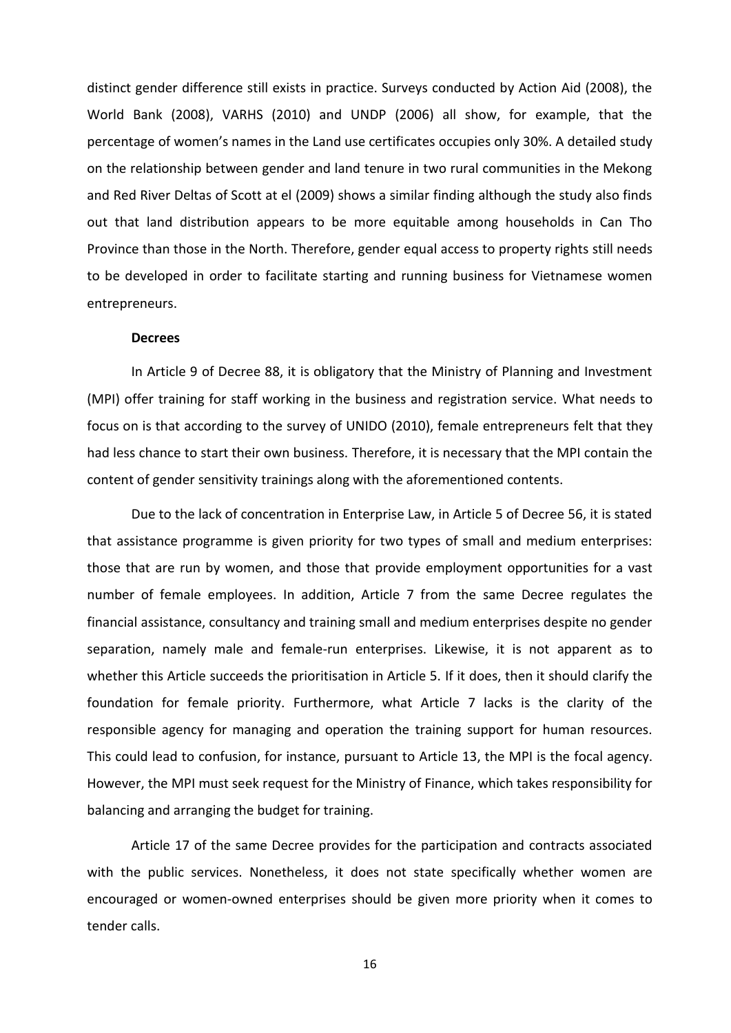distinct gender difference still exists in practice. Surveys conducted by Action Aid (2008), the World Bank (2008), VARHS (2010) and UNDP (2006) all show, for example, that the percentage of women's names in the Land use certificates occupies only 30%. A detailed study on the relationship between gender and land tenure in two rural communities in the Mekong and Red River Deltas of Scott at el (2009) shows a similar finding although the study also finds out that land distribution appears to be more equitable among households in Can Tho Province than those in the North. Therefore, gender equal access to property rights still needs to be developed in order to facilitate starting and running business for Vietnamese women entrepreneurs.

#### **Decrees**

In Article 9 of Decree 88, it is obligatory that the Ministry of Planning and Investment (MPI) offer training for staff working in the business and registration service. What needs to focus on is that according to the survey of UNIDO (2010), female entrepreneurs felt that they had less chance to start their own business. Therefore, it is necessary that the MPI contain the content of gender sensitivity trainings along with the aforementioned contents.

Due to the lack of concentration in Enterprise Law, in Article 5 of Decree 56, it is stated that assistance programme is given priority for two types of small and medium enterprises: those that are run by women, and those that provide employment opportunities for a vast number of female employees. In addition, Article 7 from the same Decree regulates the financial assistance, consultancy and training small and medium enterprises despite no gender separation, namely male and female-run enterprises. Likewise, it is not apparent as to whether this Article succeeds the prioritisation in Article 5. If it does, then it should clarify the foundation for female priority. Furthermore, what Article 7 lacks is the clarity of the responsible agency for managing and operation the training support for human resources. This could lead to confusion, for instance, pursuant to Article 13, the MPI is the focal agency. However, the MPI must seek request for the Ministry of Finance, which takes responsibility for balancing and arranging the budget for training.

Article 17 of the same Decree provides for the participation and contracts associated with the public services. Nonetheless, it does not state specifically whether women are encouraged or women-owned enterprises should be given more priority when it comes to tender calls.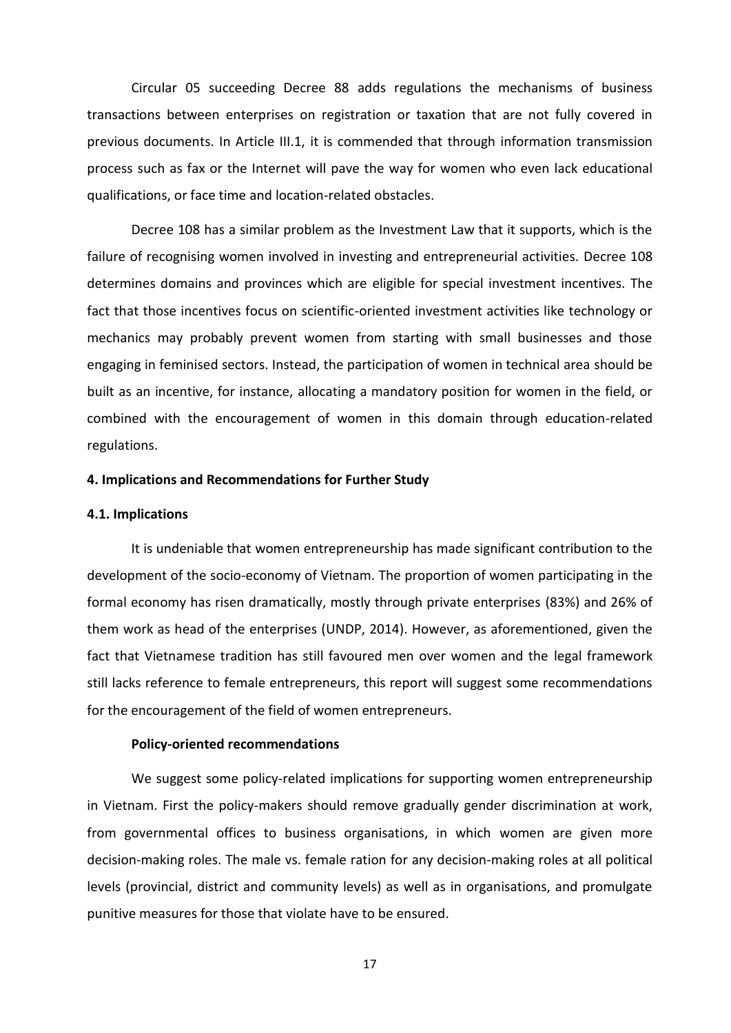Circular 05 succeeding Decree 88 adds regulations the mechanisms of business transactions between enterprises on registration or taxation that are not fully covered in previous documents. In Article III.1, it is commended that through information transmission process such as fax or the Internet will pave the way for women who even lack educational qualifications, or face time and location-related obstacles.

Decree 108 has a similar problem as the Investment Law that it supports, which is the failure of recognising women involved in investing and entrepreneurial activities. Decree 108 determines domains and provinces which are eligible for special investment incentives. The fact that those incentives focus on scientific-oriented investment activities like technology or mechanics may probably prevent women from starting with small businesses and those engaging in feminised sectors. Instead, the participation of women in technical area should be built as an incentive, for instance, allocating a mandatory position for women in the field, or combined with the encouragement of women in this domain through education-related regulations.

# **4. Implications and Recommendations for Further Study**

#### **4.1. Implications**

It is undeniable that women entrepreneurship has made significant contribution to the development of the socio-economy of Vietnam. The proportion of women participating in the formal economy has risen dramatically, mostly through private enterprises (83%) and 26% of them work as head of the enterprises (UNDP, 2014). However, as aforementioned, given the fact that Vietnamese tradition has still favoured men over women and the legal framework still lacks reference to female entrepreneurs, this report will suggest some recommendations for the encouragement of the field of women entrepreneurs.

# **Policy-oriented recommendations**

We suggest some policy-related implications for supporting women entrepreneurship in Vietnam. First the policy-makers should remove gradually gender discrimination at work, from governmental offices to business organisations, in which women are given more decision-making roles. The male vs. female ration for any decision-making roles at all political levels (provincial, district and community levels) as well as in organisations, and promulgate punitive measures for those that violate have to be ensured.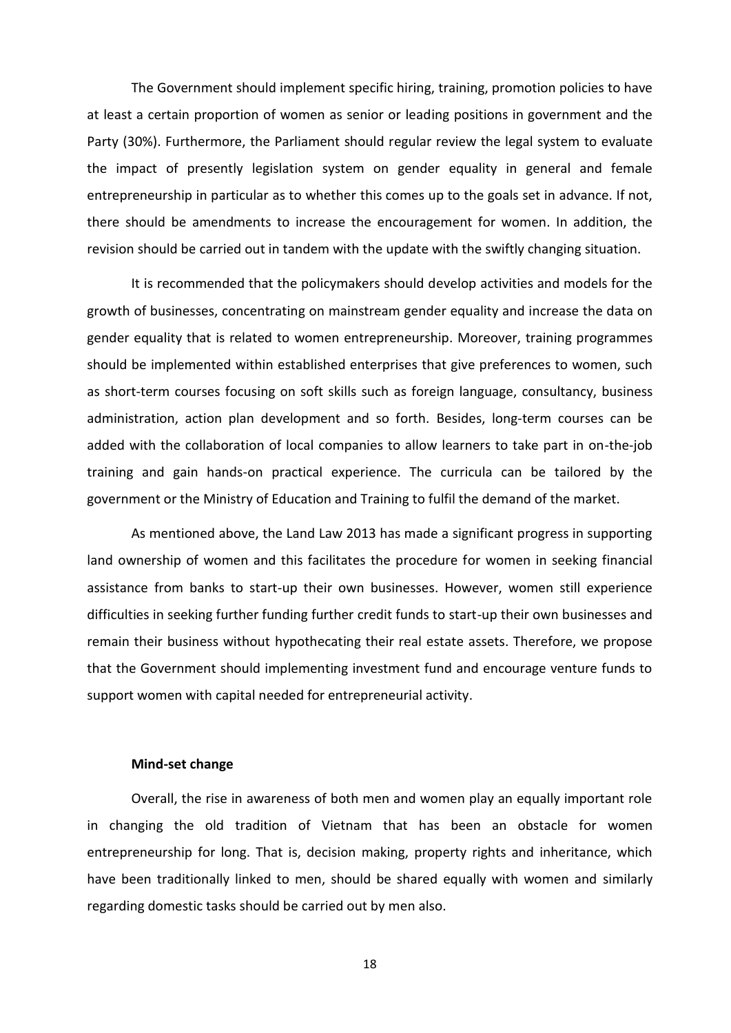The Government should implement specific hiring, training, promotion policies to have at least a certain proportion of women as senior or leading positions in government and the Party (30%). Furthermore, the Parliament should regular review the legal system to evaluate the impact of presently legislation system on gender equality in general and female entrepreneurship in particular as to whether this comes up to the goals set in advance. If not, there should be amendments to increase the encouragement for women. In addition, the revision should be carried out in tandem with the update with the swiftly changing situation.

It is recommended that the policymakers should develop activities and models for the growth of businesses, concentrating on mainstream gender equality and increase the data on gender equality that is related to women entrepreneurship. Moreover, training programmes should be implemented within established enterprises that give preferences to women, such as short-term courses focusing on soft skills such as foreign language, consultancy, business administration, action plan development and so forth. Besides, long-term courses can be added with the collaboration of local companies to allow learners to take part in on-the-job training and gain hands-on practical experience. The curricula can be tailored by the government or the Ministry of Education and Training to fulfil the demand of the market.

As mentioned above, the Land Law 2013 has made a significant progress in supporting land ownership of women and this facilitates the procedure for women in seeking financial assistance from banks to start-up their own businesses. However, women still experience difficulties in seeking further funding further credit funds to start-up their own businesses and remain their business without hypothecating their real estate assets. Therefore, we propose that the Government should implementing investment fund and encourage venture funds to support women with capital needed for entrepreneurial activity.

#### **Mind-set change**

Overall, the rise in awareness of both men and women play an equally important role in changing the old tradition of Vietnam that has been an obstacle for women entrepreneurship for long. That is, decision making, property rights and inheritance, which have been traditionally linked to men, should be shared equally with women and similarly regarding domestic tasks should be carried out by men also.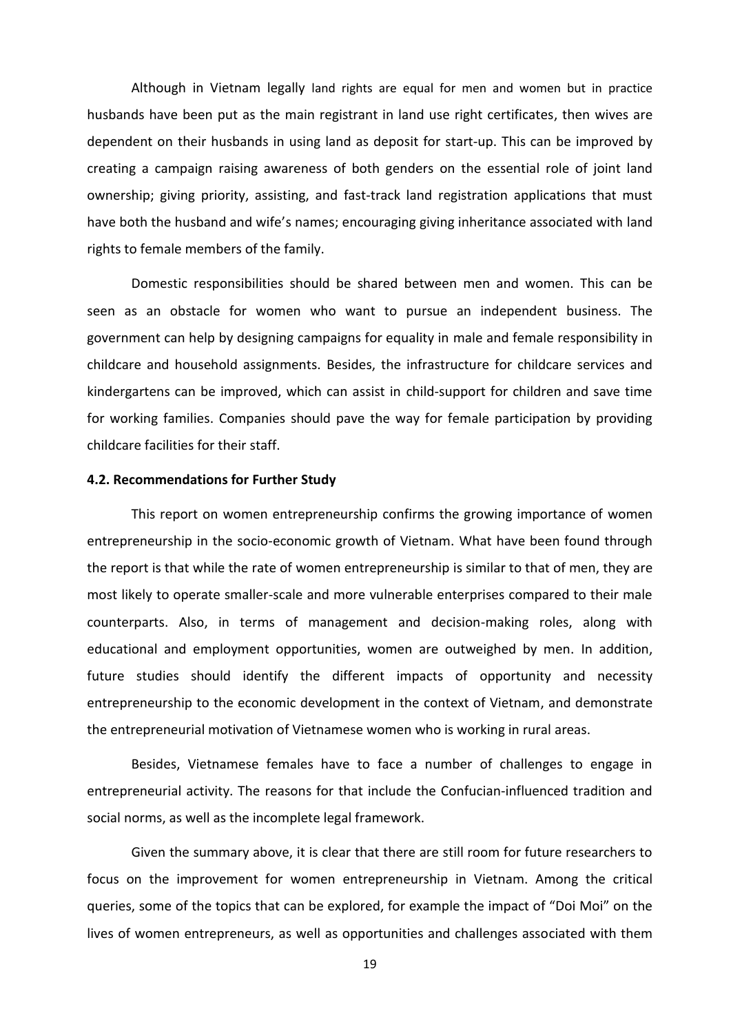Although in Vietnam legally land rights are equal for men and women but in practice husbands have been put as the main registrant in land use right certificates, then wives are dependent on their husbands in using land as deposit for start-up. This can be improved by creating a campaign raising awareness of both genders on the essential role of joint land ownership; giving priority, assisting, and fast-track land registration applications that must have both the husband and wife's names; encouraging giving inheritance associated with land rights to female members of the family.

Domestic responsibilities should be shared between men and women. This can be seen as an obstacle for women who want to pursue an independent business. The government can help by designing campaigns for equality in male and female responsibility in childcare and household assignments. Besides, the infrastructure for childcare services and kindergartens can be improved, which can assist in child-support for children and save time for working families. Companies should pave the way for female participation by providing childcare facilities for their staff.

## **4.2. Recommendations for Further Study**

This report on women entrepreneurship confirms the growing importance of women entrepreneurship in the socio-economic growth of Vietnam. What have been found through the report is that while the rate of women entrepreneurship is similar to that of men, they are most likely to operate smaller-scale and more vulnerable enterprises compared to their male counterparts. Also, in terms of management and decision-making roles, along with educational and employment opportunities, women are outweighed by men. In addition, future studies should identify the different impacts of opportunity and necessity entrepreneurship to the economic development in the context of Vietnam, and demonstrate the entrepreneurial motivation of Vietnamese women who is working in rural areas.

Besides, Vietnamese females have to face a number of challenges to engage in entrepreneurial activity. The reasons for that include the Confucian-influenced tradition and social norms, as well as the incomplete legal framework.

Given the summary above, it is clear that there are still room for future researchers to focus on the improvement for women entrepreneurship in Vietnam. Among the critical queries, some of the topics that can be explored, for example the impact of "Doi Moi" on the lives of women entrepreneurs, as well as opportunities and challenges associated with them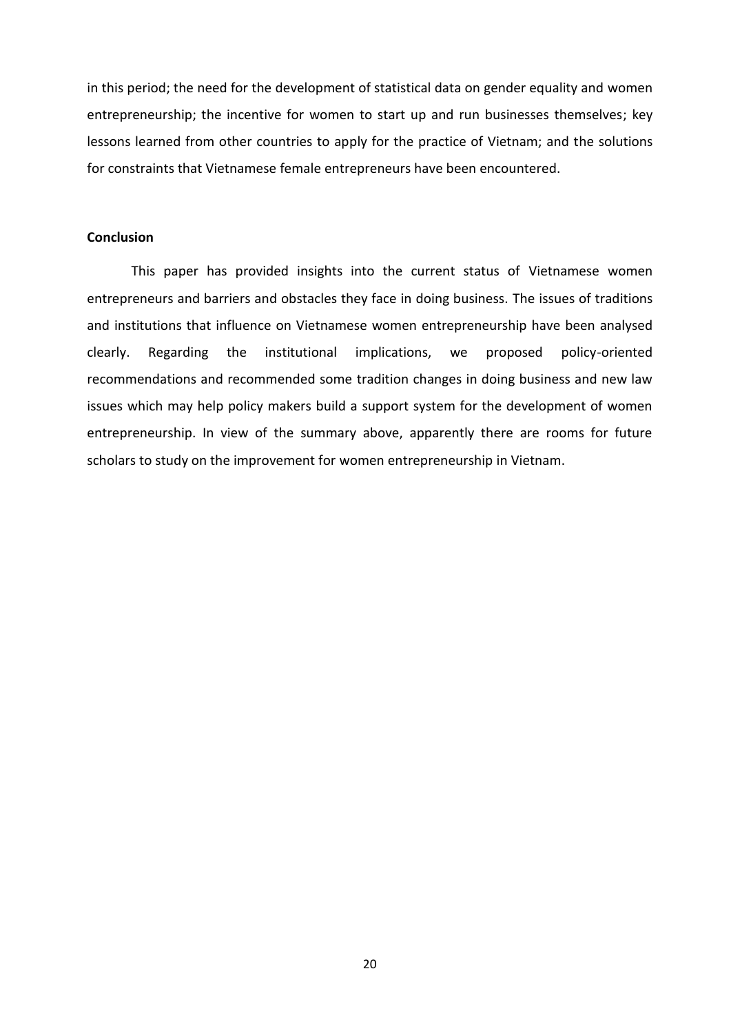in this period; the need for the development of statistical data on gender equality and women entrepreneurship; the incentive for women to start up and run businesses themselves; key lessons learned from other countries to apply for the practice of Vietnam; and the solutions for constraints that Vietnamese female entrepreneurs have been encountered.

# **Conclusion**

This paper has provided insights into the current status of Vietnamese women entrepreneurs and barriers and obstacles they face in doing business. The issues of traditions and institutions that influence on Vietnamese women entrepreneurship have been analysed clearly. Regarding the institutional implications, we proposed policy-oriented recommendations and recommended some tradition changes in doing business and new law issues which may help policy makers build a support system for the development of women entrepreneurship. In view of the summary above, apparently there are rooms for future scholars to study on the improvement for women entrepreneurship in Vietnam.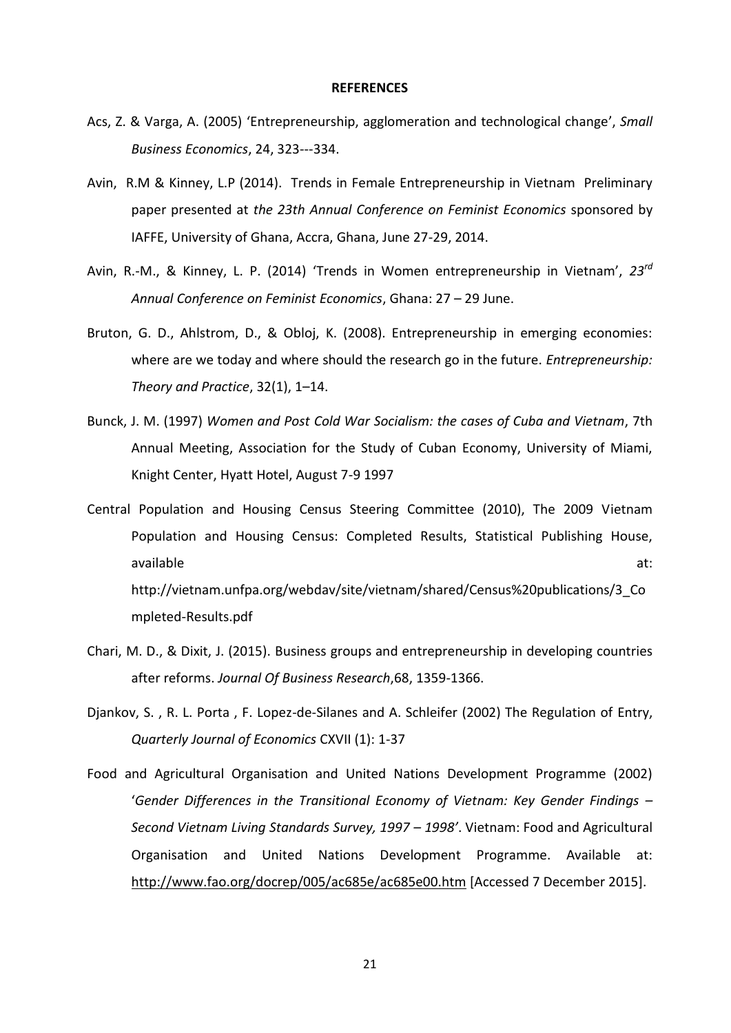#### **REFERENCES**

- Acs, Z. & Varga, A. (2005) 'Entrepreneurship, agglomeration and technological change', *Small Business Economics*, 24, 323---334.
- Avin, R.M & Kinney, L.P (2014). Trends in Female Entrepreneurship in Vietnam Preliminary paper presented at *the 23th Annual Conference on Feminist Economics* sponsored by IAFFE, University of Ghana, Accra, Ghana, June 27-29, 2014.
- Avin, R.-M., & Kinney, L. P. (2014) 'Trends in Women entrepreneurship in Vietnam', *23rd Annual Conference on Feminist Economics*, Ghana: 27 – 29 June.
- Bruton, G. D., Ahlstrom, D., & Obloj, K. (2008). Entrepreneurship in emerging economies: where are we today and where should the research go in the future. *Entrepreneurship: Theory and Practice*, 32(1), 1–14.
- Bunck, J. M. (1997) *Women and Post Cold War Socialism: the cases of Cuba and Vietnam*, 7th Annual Meeting, Association for the Study of Cuban Economy, University of Miami, Knight Center, Hyatt Hotel, August 7-9 1997

Central Population and Housing Census Steering Committee (2010), The 2009 Vietnam Population and Housing Census: Completed Results, Statistical Publishing House, available at: and a state at a state at a state at a state at a state at a state at a state at a state at a st http://vietnam.unfpa.org/webdav/site/vietnam/shared/Census%20publications/3\_Co mpleted-Results.pdf

- Chari, M. D., & Dixit, J. (2015). Business groups and entrepreneurship in developing countries after reforms. *Journal Of Business Research*,68, 1359-1366.
- Djankov, S. , R. L. Porta , F. Lopez-de-Silanes and A. Schleifer (2002) The Regulation of Entry, *Quarterly Journal of Economics* CXVII (1): 1-37
- Food and Agricultural Organisation and United Nations Development Programme (2002) '*Gender Differences in the Transitional Economy of Vietnam: Key Gender Findings – Second Vietnam Living Standards Survey, 1997 – 1998'*. Vietnam: Food and Agricultural Organisation and United Nations Development Programme. Available at: <http://www.fao.org/docrep/005/ac685e/ac685e00.htm> [Accessed 7 December 2015].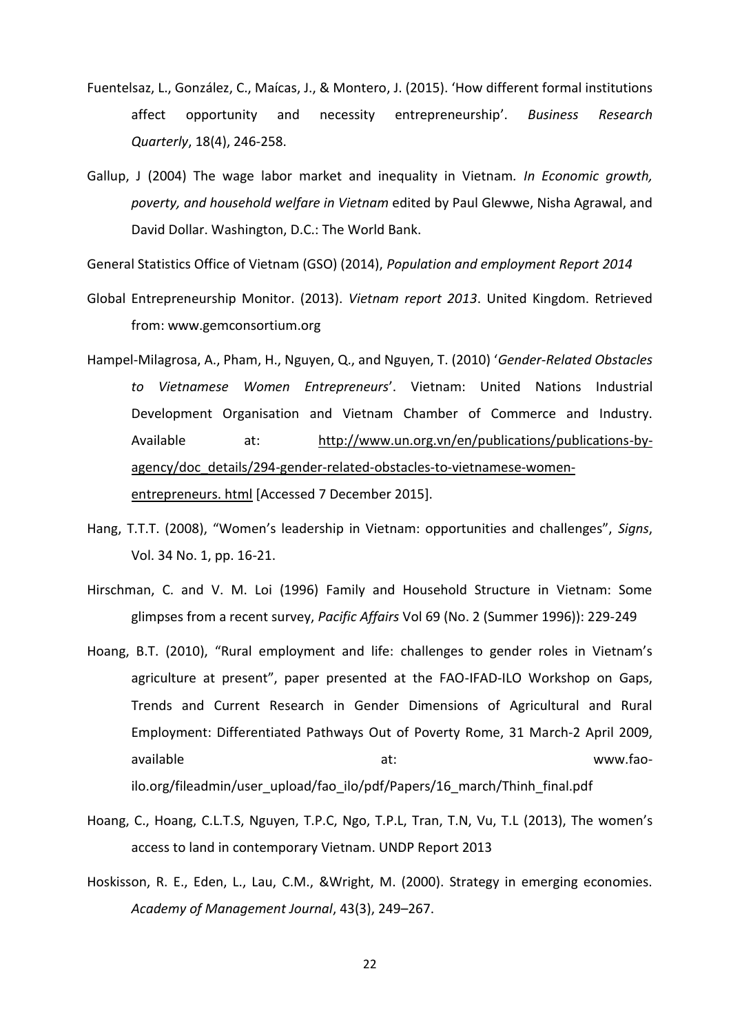- Fuentelsaz, L., González, C., Maícas, J., & Montero, J. (2015). 'How different formal institutions affect opportunity and necessity entrepreneurship'. *Business Research Quarterly*, 18(4), 246-258.
- Gallup, J (2004) The wage labor market and inequality in Vietnam*. In Economic growth, poverty, and household welfare in Vietnam* edited by Paul Glewwe, Nisha Agrawal, and David Dollar. Washington, D.C.: The World Bank.

General Statistics Office of Vietnam (GSO) (2014), *Population and employment Report 2014*

- Global Entrepreneurship Monitor. (2013). *Vietnam report 2013*. United Kingdom. Retrieved from: [www.gemconsortium.org](http://www.gemconsortium.org/)
- Hampel-Milagrosa, A., Pham, H., Nguyen, Q., and Nguyen, T. (2010) '*Gender-Related Obstacles to Vietnamese Women Entrepreneurs*'. Vietnam: United Nations Industrial Development Organisation and Vietnam Chamber of Commerce and Industry. Available at: [http://www.un.org.vn/en/publications/publications-by](http://www.un.org.vn/en/publications/publications-by-agency/%20doc_details/294-gender-related-obstacles-to-vietnamese-women-entrepreneurs.%20html)[agency/doc\\_details/294-gender-related-obstacles-to-vietnamese-women](http://www.un.org.vn/en/publications/publications-by-agency/%20doc_details/294-gender-related-obstacles-to-vietnamese-women-entrepreneurs.%20html)[entrepreneurs. html](http://www.un.org.vn/en/publications/publications-by-agency/%20doc_details/294-gender-related-obstacles-to-vietnamese-women-entrepreneurs.%20html) [Accessed 7 December 2015].
- Hang, T.T.T. (2008), "Women's leadership in Vietnam: opportunities and challenges", *Signs*, Vol. 34 No. 1, pp. 16-21.
- Hirschman, C. and V. M. Loi (1996) Family and Household Structure in Vietnam: Some glimpses from a recent survey, *Pacific Affairs* Vol 69 (No. 2 (Summer 1996)): 229-249
- Hoang, B.T. (2010), "Rural employment and life: challenges to gender roles in Vietnam's agriculture at present", paper presented at the FAO-IFAD-ILO Workshop on Gaps, Trends and Current Research in Gender Dimensions of Agricultural and Rural Employment: Differentiated Pathways Out of Poverty Rome, 31 March-2 April 2009, available and at: the set of the set of the set of the set of the set of the set of the set of the set of the s ilo.org/fileadmin/user\_upload/fao\_ilo/pdf/Papers/16\_march/Thinh\_final.pdf
- Hoang, C., Hoang, C.L.T.S, Nguyen, T.P.C, Ngo, T.P.L, Tran, T.N, Vu, T.L (2013), The women's access to land in contemporary Vietnam. UNDP Report 2013
- Hoskisson, R. E., Eden, L., Lau, C.M., &Wright, M. (2000). Strategy in emerging economies. *Academy of Management Journal*, 43(3), 249–267.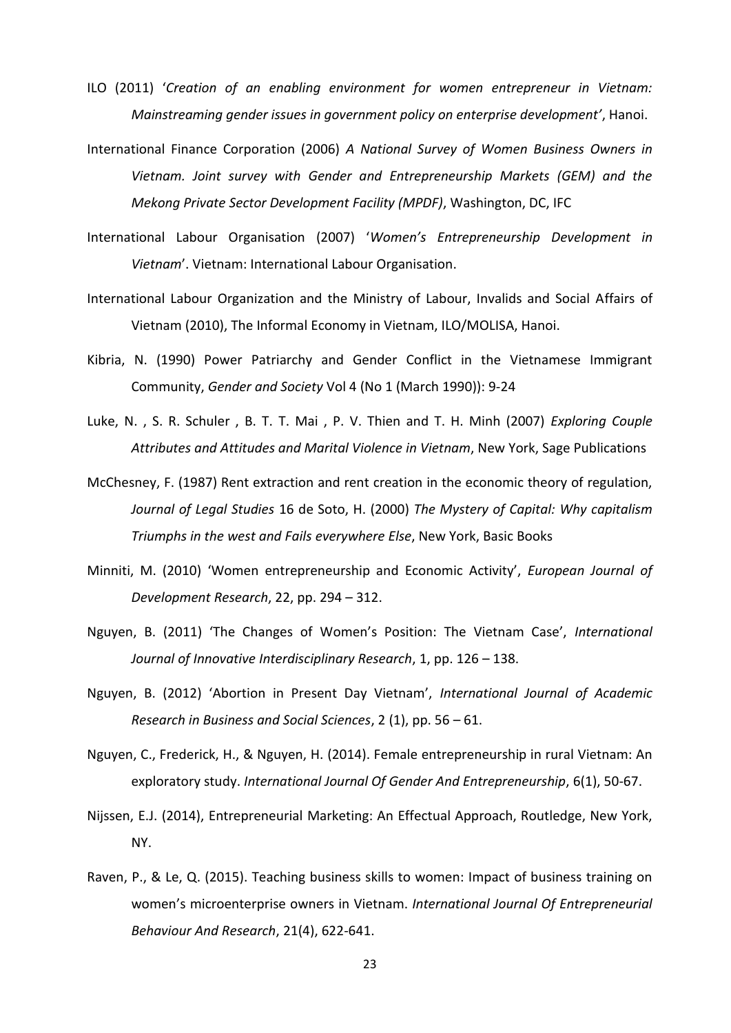- ILO (2011) '*Creation of an enabling environment for women entrepreneur in Vietnam: Mainstreaming gender issues in government policy on enterprise development'*, Hanoi.
- International Finance Corporation (2006) *A National Survey of Women Business Owners in Vietnam. Joint survey with Gender and Entrepreneurship Markets (GEM) and the Mekong Private Sector Development Facility (MPDF)*, Washington, DC, IFC
- International Labour Organisation (2007) '*Women's Entrepreneurship Development in Vietnam*'. Vietnam: International Labour Organisation.
- International Labour Organization and the Ministry of Labour, Invalids and Social Affairs of Vietnam (2010), The Informal Economy in Vietnam, ILO/MOLISA, Hanoi.
- Kibria, N. (1990) Power Patriarchy and Gender Conflict in the Vietnamese Immigrant Community, *Gender and Society* Vol 4 (No 1 (March 1990)): 9-24
- Luke, N. , S. R. Schuler , B. T. T. Mai , P. V. Thien and T. H. Minh (2007) *Exploring Couple Attributes and Attitudes and Marital Violence in Vietnam*, New York, Sage Publications
- McChesney, F. (1987) Rent extraction and rent creation in the economic theory of regulation, *Journal of Legal Studies* 16 de Soto, H. (2000) *The Mystery of Capital: Why capitalism Triumphs in the west and Fails everywhere Else*, New York, Basic Books
- Minniti, M. (2010) 'Women entrepreneurship and Economic Activity', *European Journal of Development Research*, 22, pp. 294 – 312.
- Nguyen, B. (2011) 'The Changes of Women's Position: The Vietnam Case', *International Journal of Innovative Interdisciplinary Research*, 1, pp. 126 – 138.
- Nguyen, B. (2012) 'Abortion in Present Day Vietnam', *International Journal of Academic Research in Business and Social Sciences*, 2 (1), pp. 56 – 61.
- Nguyen, C., Frederick, H., & Nguyen, H. (2014). Female entrepreneurship in rural Vietnam: An exploratory study. *International Journal Of Gender And Entrepreneurship*, 6(1), 50-67.
- Nijssen, E.J. (2014), Entrepreneurial Marketing: An Effectual Approach, Routledge, New York, NY.
- Raven, P., & Le, Q. (2015). Teaching business skills to women: Impact of business training on women's microenterprise owners in Vietnam. *International Journal Of Entrepreneurial Behaviour And Research*, 21(4), 622-641.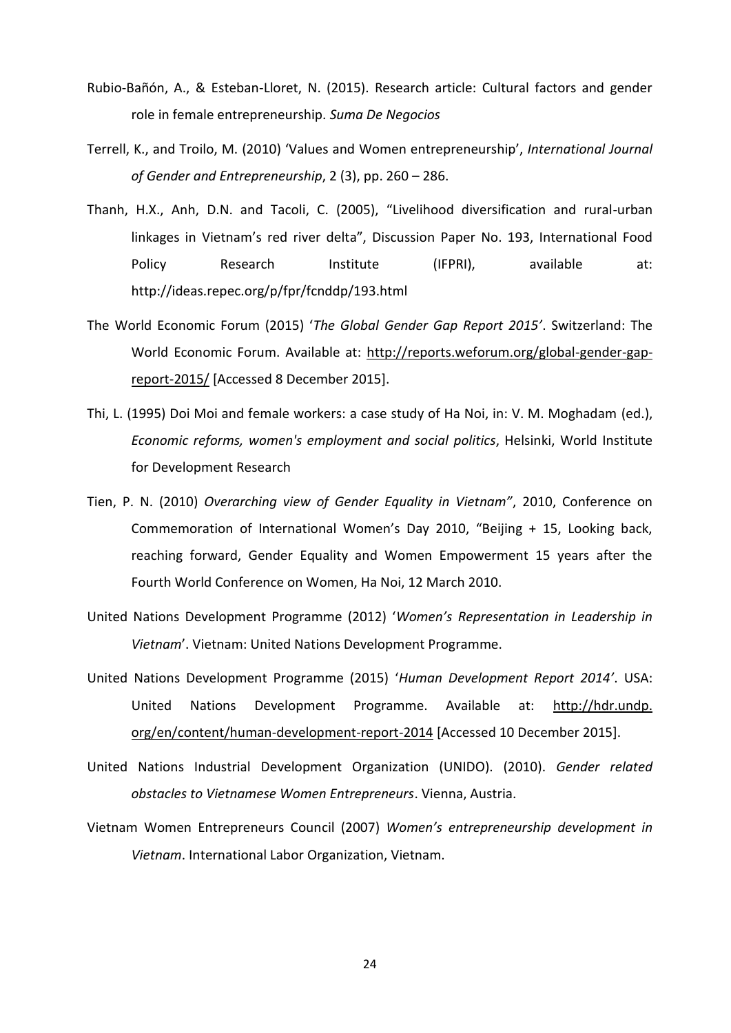- Rubio-Bañón, A., & Esteban-Lloret, N. (2015). Research article: Cultural factors and gender role in female entrepreneurship. *Suma De Negocios*
- Terrell, K., and Troilo, M. (2010) 'Values and Women entrepreneurship', *International Journal of Gender and Entrepreneurship*, 2 (3), pp. 260 – 286.
- Thanh, H.X., Anh, D.N. and Tacoli, C. (2005), "Livelihood diversification and rural-urban linkages in Vietnam's red river delta", Discussion Paper No. 193, International Food Policy Research Institute (IFPRI), available at: http://ideas.repec.org/p/fpr/fcnddp/193.html
- The World Economic Forum (2015) '*The Global Gender Gap Report 2015'*. Switzerland: The World Economic Forum. Available at: [http://reports.weforum.org/global-gender-gap](http://reports.weforum.org/global-gender-gap-report-2015/)[report-2015/](http://reports.weforum.org/global-gender-gap-report-2015/) [Accessed 8 December 2015].
- Thi, L. (1995) Doi Moi and female workers: a case study of Ha Noi, in: V. M. Moghadam (ed.), *Economic reforms, women's employment and social politics*, Helsinki, World Institute for Development Research
- Tien, P. N. (2010) *Overarching view of Gender Equality in Vietnam"*, 2010, Conference on Commemoration of International Women's Day 2010, "Beijing + 15, Looking back, reaching forward, Gender Equality and Women Empowerment 15 years after the Fourth World Conference on Women, Ha Noi, 12 March 2010.
- United Nations Development Programme (2012) '*Women's Representation in Leadership in Vietnam*'. Vietnam: United Nations Development Programme.
- United Nations Development Programme (2015) '*Human Development Report 2014'*. USA: United Nations Development Programme. Available at: http://hdr.undp. org/en/content/human-development-report-2014 [Accessed 10 December 2015].
- United Nations Industrial Development Organization (UNIDO). (2010). *Gender related obstacles to Vietnamese Women Entrepreneurs*. Vienna, Austria.
- Vietnam Women Entrepreneurs Council (2007) *Women's entrepreneurship development in Vietnam*. International Labor Organization, Vietnam.